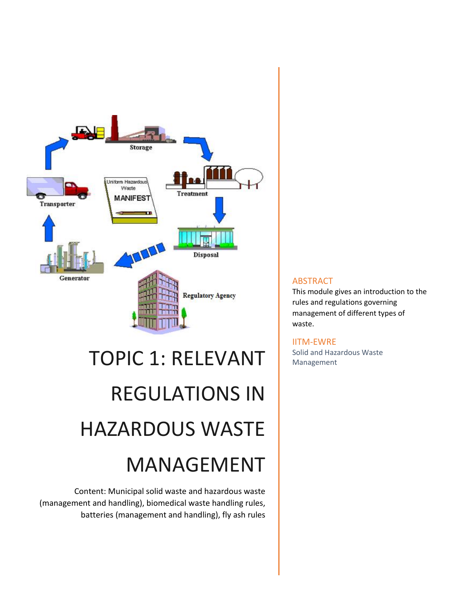

# TOPIC 1: RELEVANT REGULATIONS IN HAZARDOUS WASTE MANAGEMENT

Content: Municipal solid waste and hazardous waste (management and handling), biomedical waste handling rules, batteries (management and handling), fly ash rules

### ABSTRACT

This module gives an introduction to the rules and regulations governing management of different types of waste.

#### IITM-EWRE

Solid and Hazardous Waste Management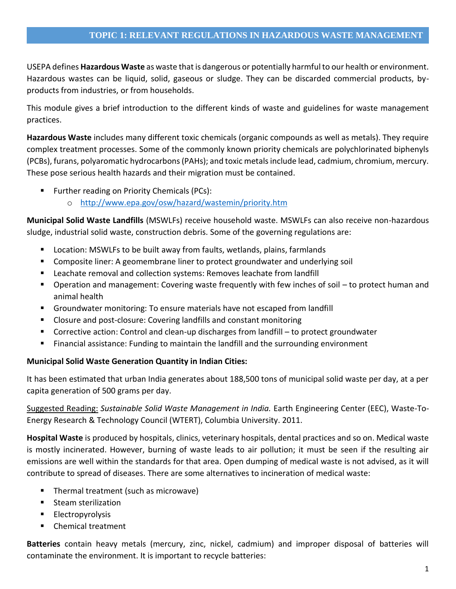USEPA defines **Hazardous Waste** as waste that is dangerous or potentially harmful to our health or environment. Hazardous wastes can be liquid, solid, gaseous or sludge. They can be discarded commercial products, byproducts from industries, or from households.

This module gives a brief introduction to the different kinds of waste and guidelines for waste management practices.

**Hazardous Waste** includes many different toxic chemicals (organic compounds as well as metals). They require complex treatment processes. Some of the commonly known priority chemicals are polychlorinated biphenyls (PCBs), furans, polyaromatic hydrocarbons (PAHs); and toxic metals include lead, cadmium, chromium, mercury. These pose serious health hazards and their migration must be contained.

- **Further reading on Priority Chemicals (PCs):** 
	- o <http://www.epa.gov/osw/hazard/wastemin/priority.htm>

**Municipal Solid Waste Landfills** (MSWLFs) receive household waste. MSWLFs can also receive non-hazardous sludge, industrial solid waste, construction debris. Some of the governing regulations are:

- Location: MSWLFs to be built away from faults, wetlands, plains, farmlands
- **EXP** Composite liner: A geomembrane liner to protect groundwater and underlying soil
- **EXTE:** Leachate removal and collection systems: Removes leachate from landfill
- Operation and management: Covering waste frequently with few inches of soil to protect human and animal health
- Groundwater monitoring: To ensure materials have not escaped from landfill
- Closure and post-closure: Covering landfills and constant monitoring
- Corrective action: Control and clean-up discharges from landfill to protect groundwater
- Financial assistance: Funding to maintain the landfill and the surrounding environment

#### **Municipal Solid Waste Generation Quantity in Indian Cities:**

It has been estimated that urban India generates about 188,500 tons of municipal solid waste per day, at a per capita generation of 500 grams per day.

Suggested Reading: *Sustainable Solid Waste Management in India.* Earth Engineering Center (EEC), Waste-To-Energy Research & Technology Council (WTERT), Columbia University. 2011.

**Hospital Waste** is produced by hospitals, clinics, veterinary hospitals, dental practices and so on. Medical waste is mostly incinerated. However, burning of waste leads to air pollution; it must be seen if the resulting air emissions are well within the standards for that area. Open dumping of medical waste is not advised, as it will contribute to spread of diseases. There are some alternatives to incineration of medical waste:

- Thermal treatment (such as microwave)
- **Steam sterilization**
- Electropyrolysis
- Chemical treatment

**Batteries** contain heavy metals (mercury, zinc, nickel, cadmium) and improper disposal of batteries will contaminate the environment. It is important to recycle batteries: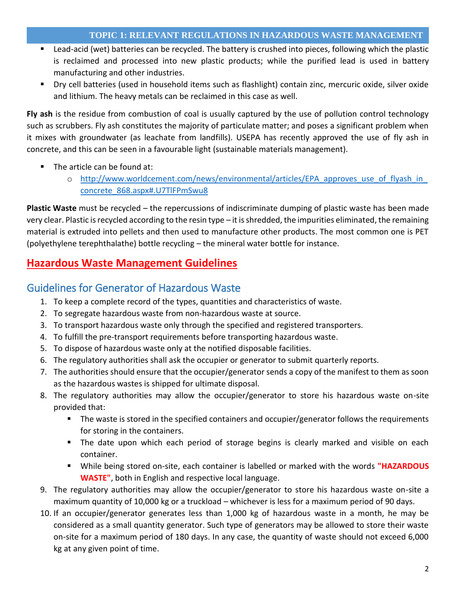- Lead-acid (wet) batteries can be recycled. The battery is crushed into pieces, following which the plastic is reclaimed and processed into new plastic products; while the purified lead is used in battery manufacturing and other industries.
- Dry cell batteries (used in household items such as flashlight) contain zinc, mercuric oxide, silver oxide and lithium. The heavy metals can be reclaimed in this case as well.

**Fly ash** is the residue from combustion of coal is usually captured by the use of pollution control technology such as scrubbers. Fly ash constitutes the majority of particulate matter; and poses a significant problem when it mixes with groundwater (as leachate from landfills). USEPA has recently approved the use of fly ash in concrete, and this can be seen in a favourable light (sustainable materials management).

- The article can be found at:
	- o http://www.worldcement.com/news/environmental/articles/EPA approves use of flyash in [concrete\\_868.aspx#.U7TlFPmSwu8](http://www.worldcement.com/news/environmental/articles/EPA_approves_use_of_flyash_in_concrete_868.aspx#.U7TlFPmSwu8)

**Plastic Waste** must be recycled – the repercussions of indiscriminate dumping of plastic waste has been made very clear. Plastic is recycled according to the resin type – it is shredded, the impurities eliminated, the remaining material is extruded into pellets and then used to manufacture other products. The most common one is PET (polyethylene terephthalathe) bottle recycling – the mineral water bottle for instance.

## **Hazardous Waste Management Guidelines**

## Guidelines for Generator of Hazardous Waste

- 1. To keep a complete record of the types, quantities and characteristics of waste.
- 2. To segregate hazardous waste from non-hazardous waste at source.
- 3. To transport hazardous waste only through the specified and registered transporters.
- 4. To fulfill the pre-transport requirements before transporting hazardous waste.
- 5. To dispose of hazardous waste only at the notified disposable facilities.
- 6. The regulatory authorities shall ask the occupier or generator to submit quarterly reports.
- 7. The authorities should ensure that the occupier/generator sends a copy of the manifest to them as soon as the hazardous wastes is shipped for ultimate disposal.
- 8. The regulatory authorities may allow the occupier/generator to store his hazardous waste on-site provided that:
	- **The waste is stored in the specified containers and occupier/generator follows the requirements** for storing in the containers.
	- The date upon which each period of storage begins is clearly marked and visible on each container.
	- While being stored on-site, each container is labelled or marked with the words **"HAZARDOUS WASTE"**, both in English and respective local language.
- 9. The regulatory authorities may allow the occupier/generator to store his hazardous waste on-site a maximum quantity of 10,000 kg or a truckload – whichever is less for a maximum period of 90 days.
- 10. If an occupier/generator generates less than 1,000 kg of hazardous waste in a month, he may be considered as a small quantity generator. Such type of generators may be allowed to store their waste on-site for a maximum period of 180 days. In any case, the quantity of waste should not exceed 6,000 kg at any given point of time.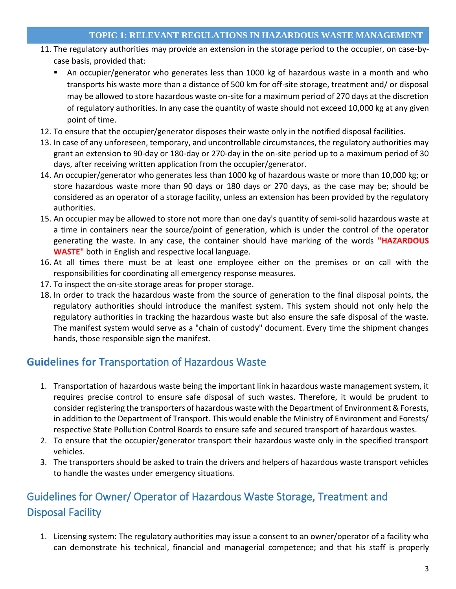- 11. The regulatory authorities may provide an extension in the storage period to the occupier, on case-bycase basis, provided that:
	- An occupier/generator who generates less than 1000 kg of hazardous waste in a month and who transports his waste more than a distance of 500 km for off-site storage, treatment and/ or disposal may be allowed to store hazardous waste on-site for a maximum period of 270 days at the discretion of regulatory authorities. In any case the quantity of waste should not exceed 10,000 kg at any given point of time.
- 12. To ensure that the occupier/generator disposes their waste only in the notified disposal facilities.
- 13. In case of any unforeseen, temporary, and uncontrollable circumstances, the regulatory authorities may grant an extension to 90-day or 180-day or 270-day in the on-site period up to a maximum period of 30 days, after receiving written application from the occupier/generator.
- 14. An occupier/generator who generates less than 1000 kg of hazardous waste or more than 10,000 kg; or store hazardous waste more than 90 days or 180 days or 270 days, as the case may be; should be considered as an operator of a storage facility, unless an extension has been provided by the regulatory authorities.
- 15. An occupier may be allowed to store not more than one day's quantity of semi-solid hazardous waste at a time in containers near the source/point of generation, which is under the control of the operator generating the waste. In any case, the container should have marking of the words **"HAZARDOUS WASTE"** both in English and respective local language.
- 16. At all times there must be at least one employee either on the premises or on call with the responsibilities for coordinating all emergency response measures.
- 17. To inspect the on-site storage areas for proper storage.
- 18. In order to track the hazardous waste from the source of generation to the final disposal points, the regulatory authorities should introduce the manifest system. This system should not only help the regulatory authorities in tracking the hazardous waste but also ensure the safe disposal of the waste. The manifest system would serve as a "chain of custody" document. Every time the shipment changes hands, those responsible sign the manifest.

## **Guidelines for T**ransportation of Hazardous Waste

- 1. Transportation of hazardous waste being the important link in hazardous waste management system, it requires precise control to ensure safe disposal of such wastes. Therefore, it would be prudent to consider registering the transporters of hazardous waste with the Department of Environment & Forests, in addition to the Department of Transport. This would enable the Ministry of Environment and Forests/ respective State Pollution Control Boards to ensure safe and secured transport of hazardous wastes.
- 2. To ensure that the occupier/generator transport their hazardous waste only in the specified transport vehicles.
- 3. The transporters should be asked to train the drivers and helpers of hazardous waste transport vehicles to handle the wastes under emergency situations.

## Guidelines for Owner/ Operator of Hazardous Waste Storage, Treatment and Disposal Facility

1. Licensing system: The regulatory authorities may issue a consent to an owner/operator of a facility who can demonstrate his technical, financial and managerial competence; and that his staff is properly